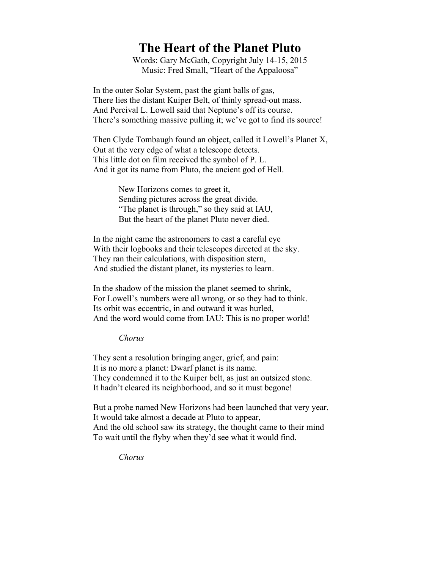## **The Heart of the Planet Pluto**

Words: Gary McGath, Copyright July 14-15, 2015 Music: Fred Small, "Heart of the Appaloosa"

In the outer Solar System, past the giant balls of gas, There lies the distant Kuiper Belt, of thinly spread-out mass. And Percival L. Lowell said that Neptune's off its course. There's something massive pulling it; we've got to find its source!

Then Clyde Tombaugh found an object, called it Lowell's Planet X, Out at the very edge of what a telescope detects. This little dot on film received the symbol of P. L. And it got its name from Pluto, the ancient god of Hell.

> New Horizons comes to greet it, Sending pictures across the great divide. "The planet is through," so they said at IAU, But the heart of the planet Pluto never died.

In the night came the astronomers to cast a careful eye With their logbooks and their telescopes directed at the sky. They ran their calculations, with disposition stern, And studied the distant planet, its mysteries to learn.

In the shadow of the mission the planet seemed to shrink, For Lowell's numbers were all wrong, or so they had to think. Its orbit was eccentric, in and outward it was hurled, And the word would come from IAU: This is no proper world!

## *Chorus*

They sent a resolution bringing anger, grief, and pain: It is no more a planet: Dwarf planet is its name. They condemned it to the Kuiper belt, as just an outsized stone. It hadn't cleared its neighborhood, and so it must begone!

But a probe named New Horizons had been launched that very year. It would take almost a decade at Pluto to appear, And the old school saw its strategy, the thought came to their mind To wait until the flyby when they'd see what it would find.

*Chorus*